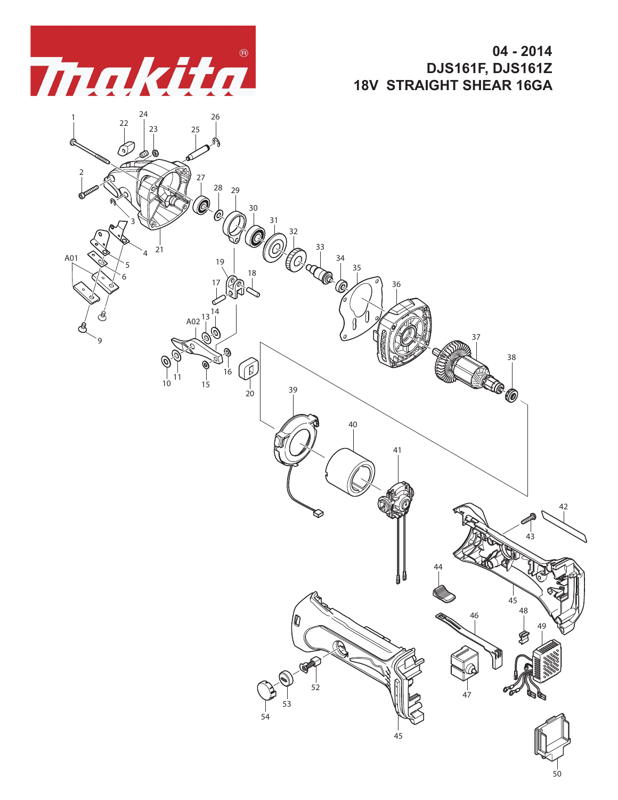

**04 - 2014 DJS161F, DJS161Z 18V STRAIGHT SHEAR 16GA**

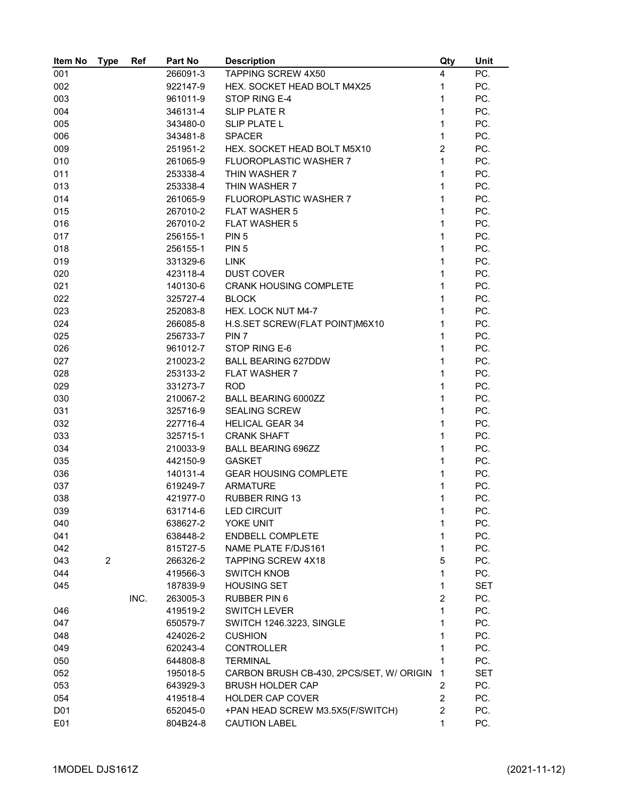| Item No          | <b>Type</b>    | Ref  | Part No              | <b>Description</b>                         | Qty                 | Unit              |
|------------------|----------------|------|----------------------|--------------------------------------------|---------------------|-------------------|
| 001              |                |      | 266091-3             | TAPPING SCREW 4X50                         | 4                   | PC.               |
| 002              |                |      | 922147-9             | HEX. SOCKET HEAD BOLT M4X25                | $\mathbf{1}$        | PC.               |
| 003              |                |      | 961011-9             | STOP RING E-4                              | 1                   | PC.               |
| 004              |                |      | 346131-4             | <b>SLIP PLATE R</b>                        | 1                   | PC.               |
| 005              |                |      | 343480-0             | <b>SLIP PLATE L</b>                        | $\mathbf 1$         | PC.               |
| 006              |                |      | 343481-8             | <b>SPACER</b>                              | $\mathbf{1}$        | PC.               |
| 009              |                |      | 251951-2             | HEX. SOCKET HEAD BOLT M5X10                | $\overline{2}$      | PC.               |
| 010              |                |      | 261065-9             | FLUOROPLASTIC WASHER 7                     | $\mathbf{1}$        | PC.               |
| 011              |                |      | 253338-4             | THIN WASHER 7                              | 1                   | PC.               |
| 013              |                |      | 253338-4             | THIN WASHER 7                              | $\mathbf{1}$        | PC.               |
| 014              |                |      | 261065-9             | <b>FLUOROPLASTIC WASHER 7</b>              | 1                   | PC.               |
| 015              |                |      | 267010-2             | <b>FLAT WASHER 5</b>                       | 1                   | PC.               |
| 016              |                |      | 267010-2             | <b>FLAT WASHER 5</b>                       | 1                   | PC.               |
| 017              |                |      | 256155-1             | PIN <sub>5</sub>                           | $\mathbf{1}$        | PC.               |
| 018              |                |      | 256155-1             | PIN <sub>5</sub>                           | $\mathbf{1}$        | PC.               |
| 019              |                |      | 331329-6             | <b>LINK</b>                                | $\mathbf{1}$        | PC.               |
| 020              |                |      | 423118-4             | <b>DUST COVER</b>                          | $\mathbf{1}$        | PC.               |
| 021              |                |      | 140130-6             | <b>CRANK HOUSING COMPLETE</b>              | $\mathbf{1}$        | PC.               |
| 022              |                |      | 325727-4             | <b>BLOCK</b>                               | $\mathbf{1}$        | PC.               |
| 023              |                |      | 252083-8             | HEX. LOCK NUT M4-7                         | $\mathbf{1}$        | PC.               |
| 024              |                |      | 266085-8             | H.S.SET SCREW(FLAT POINT)M6X10             | $\mathbf{1}$        | PC.               |
| 025              |                |      | 256733-7             | PIN <sub>7</sub>                           | 1                   | PC.               |
| 026              |                |      | 961012-7             | STOP RING E-6                              | $\mathbf{1}$        | PC.               |
| 027              |                |      | 210023-2             | <b>BALL BEARING 627DDW</b>                 | $\mathbf{1}$        | PC.               |
| 028              |                |      | 253133-2             | <b>FLAT WASHER 7</b>                       | 1                   | PC.               |
| 029              |                |      | 331273-7             | <b>ROD</b>                                 | 1                   | PC.               |
| 030              |                |      | 210067-2             | BALL BEARING 6000ZZ                        | 1                   | PC.               |
| 031              |                |      | 325716-9             | <b>SEALING SCREW</b>                       | 1                   | PC.               |
| 032              |                |      | 227716-4             | <b>HELICAL GEAR 34</b>                     | 1                   | PC.               |
| 033              |                |      | 325715-1             | <b>CRANK SHAFT</b>                         | 1                   | PC.               |
| 034              |                |      | 210033-9             | <b>BALL BEARING 696ZZ</b>                  | 1                   | PC.               |
| 035              |                |      | 442150-9             | <b>GASKET</b>                              | 1                   | PC.               |
| 036              |                |      | 140131-4             | <b>GEAR HOUSING COMPLETE</b>               | 1                   | PC.               |
| 037              |                |      | 619249-7             | <b>ARMATURE</b>                            | 1                   | PC.               |
| 038              |                |      | 421977-0             | <b>RUBBER RING 13</b>                      | $\mathbf{1}$        | PC.               |
| 039              |                |      | 631714-6             | <b>LED CIRCUIT</b>                         | 1                   | PC.               |
| 040              |                |      | 638627-2             | YOKE UNIT                                  | 1                   | PC.               |
| 041              |                |      | 638448-2             | <b>ENDBELL COMPLETE</b>                    | 1                   | PC.               |
| 042              |                |      | 815T27-5             | NAME PLATE F/DJS161                        | 1                   | PC.               |
| 043              | $\overline{2}$ |      | 266326-2             | <b>TAPPING SCREW 4X18</b>                  | 5                   | PC.               |
| 044              |                |      | 419566-3             | <b>SWITCH KNOB</b>                         | 1                   | PC.               |
| 045              |                | INC. | 187839-9             | <b>HOUSING SET</b>                         | 1<br>$\overline{c}$ | <b>SET</b><br>PC. |
|                  |                |      | 263005-3             | <b>RUBBER PIN 6</b><br><b>SWITCH LEVER</b> | 1                   | PC.               |
| 046<br>047       |                |      | 419519-2<br>650579-7 | SWITCH 1246.3223, SINGLE                   | 1                   | PC.               |
| 048              |                |      | 424026-2             | <b>CUSHION</b>                             | 1                   | PC.               |
| 049              |                |      | 620243-4             | <b>CONTROLLER</b>                          | 1                   | PC.               |
| 050              |                |      | 644808-8             | <b>TERMINAL</b>                            | 1                   | PC.               |
| 052              |                |      | 195018-5             | CARBON BRUSH CB-430, 2PCS/SET, W/ ORIGIN   | 1                   | <b>SET</b>        |
| 053              |                |      | 643929-3             | <b>BRUSH HOLDER CAP</b>                    | 2                   | PC.               |
| 054              |                |      | 419518-4             | <b>HOLDER CAP COVER</b>                    | $\overline{2}$      | PC.               |
| D <sub>0</sub> 1 |                |      | 652045-0             | +PAN HEAD SCREW M3.5X5(F/SWITCH)           | 2                   | PC.               |
| E01              |                |      | 804B24-8             | <b>CAUTION LABEL</b>                       | 1                   | PC.               |
|                  |                |      |                      |                                            |                     |                   |